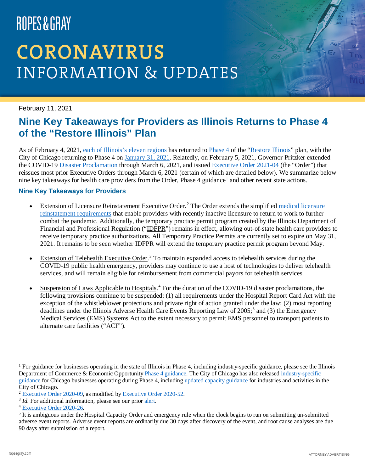# ROPES&GRAY

## **CORONAVIRUS INFORMATION & UPDATES**

February 11, 2021

### **Nine Key Takeaways for Providers as Illinois Returns to Phase 4 of the "Restore Illinois" Plan**

As of February 4, 2021, [each of Illinois's eleven regions](https://coronavirus.illinois.gov/s/restore-illinois-regional-dashboard) has returned to [Phase 4](https://coronavirus.illinois.gov/s/restore-illinois-phase-4) of the ["Restore Illinois"](https://www.ropesgray.com/en/newsroom/alerts/2020/05/Five-Phase-Restore-Illinois-Plan-Announced-to-Re-Open-State) plan, with the City of Chicago returning to Phase 4 on [January 31, 2021.](https://www.chicago.gov/city/en/sites/covid-19/home/reopening-business-portal.html) Relatedly, on February 5, 2021, Governor Pritzker extended the COVID-19 [Disaster Proclamation](https://www2.illinois.gov/sites/gov/Documents/CoronavirusDisasterProc-2-5-2021.pdf) through March 6, 2021, and issued [Executive Order 2021-04](https://www2.illinois.gov/Documents/ExecOrders/2021/ExecutiveOrder-2021-04.pdf) (the "Order") that reissues most prior Executive Orders through March 6, 2021 (certain of which are detailed below). We summarize below nine key takeaways for health care providers from the Order, Phase 4 guidance<sup>[1](#page-0-0)</sup> and other recent state actions.

#### **Nine Key Takeaways for Providers**

- Extension of Licensure Reinstatement Executive Order.<sup>[2](#page-0-1)</sup> The Order extends the simplified medical licensure [reinstatement requirements](https://www.ropesgray.com/en/newsroom/alerts/2020/04/Illinois-Medical-License-Reinstatement-COVID-19) that enable providers with recently inactive licensure to return to work to further combat the pandemic. Additionally, the temporary practice permit program created by the Illinois Department of Financial and Professional Regulation ("IDFPR") remains in effect, allowing out-of-state health care providers to receive temporary practice authorizations. All Temporary Practice Permits are currently set to expire on May 31, 2021. It remains to be seen whether IDFPR will extend the temporary practice permit program beyond May.
- Extension of Telehealth Executive Order.<sup>[3](#page-0-2)</sup> To maintain expanded access to telehealth services during the COVID-19 public health emergency, providers may continue to use a host of technologies to deliver telehealth services, and will remain eligible for reimbursement from commercial payors for telehealth services.
- Suspension of Laws Applicable to Hospitals.<sup>[4](#page-0-3)</sup> For the duration of the COVID-19 disaster proclamations, the following provisions continue to be suspended: (1) all requirements under the Hospital Report Card Act with the exception of the whistleblower protections and private right of action granted under the law; (2) most reporting deadlines under the Illinois Adverse Health Care Events Reporting Law of 200[5](#page-0-4);<sup>5</sup> and (3) the Emergency Medical Services (EMS) Systems Act to the extent necessary to permit EMS personnel to transport patients to alternate care facilities ("ACF").

<span id="page-0-0"></span><sup>&</sup>lt;sup>1</sup> For guidance for businesses operating in the state of Illinois in Phase 4, including industry-specific guidance, please see the Illinois Department of Commerce & Economic Opportunity [Phase 4 guidance.](https://dceocovid19resources.com/restore-illinois/restore-illinois-phase-4/) The City of Chicago has also released industry-specific [guidance](https://www.chicago.gov/city/en/sites/covid-19/home/reopening-business-portal/business-guidelines.html) for Chicago businesses operating during Phase 4, including [updated capacity guidance](https://www.chicago.gov/content/dam/city/sites/covid/reopen-businesses-portal/guidelines/BeSafe.Capacity-Limitations-City-of-Chicago-Phase-4-Guidelines.pdf) for industries and activities in the City of Chicago.

<span id="page-0-1"></span><sup>2</sup> [Executive Order 2020-09,](https://www2.illinois.gov/Documents/ExecOrders/2020/ExecutiveOrder-2020-09.pdf) as modified by [Executive Order 2020-52.](https://www2.illinois.gov/Documents/ExecOrders/2020/ExecutiveOrder-2020-52.pdf)

<span id="page-0-2"></span><sup>&</sup>lt;sup>3</sup> *Id.* For additional information, please see our prior [alert.](https://www.ropesgray.com/en/newsroom/alerts/2020/04/Illinois-Expansion-of-Access-to-Health-Care-via-Telehealth-Executive-Order)

<span id="page-0-3"></span><sup>4</sup> [Executive Order 2020-26.](https://www2.illinois.gov/Documents/ExecOrders/2020/ExecutiveOrder-2020-26.pdf)

<span id="page-0-4"></span><sup>&</sup>lt;sup>5</sup> It is ambiguous under the Hospital Capacity Order and emergency rule when the clock begins to run on submitting un-submitted adverse event reports. Adverse event reports are ordinarily due 30 days after discovery of the event, and root cause analyses are due 90 days after submission of a report.